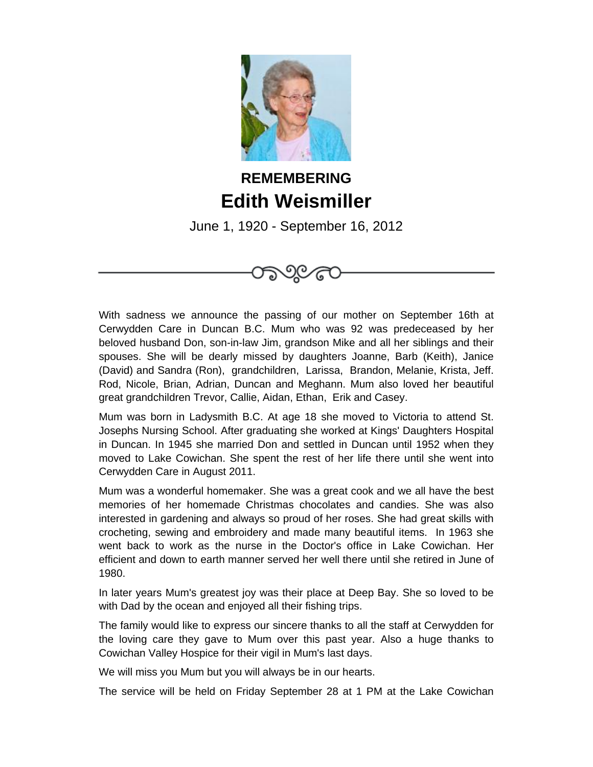

## **REMEMBERING Edith Weismiller**

June 1, 1920 - September 16, 2012



With sadness we announce the passing of our mother on September 16th at Cerwydden Care in Duncan B.C. Mum who was 92 was predeceased by her beloved husband Don, son-in-law Jim, grandson Mike and all her siblings and their spouses. She will be dearly missed by daughters Joanne, Barb (Keith), Janice (David) and Sandra (Ron), grandchildren, Larissa, Brandon, Melanie, Krista, Jeff. Rod, Nicole, Brian, Adrian, Duncan and Meghann. Mum also loved her beautiful great grandchildren Trevor, Callie, Aidan, Ethan, Erik and Casey.

Mum was born in Ladysmith B.C. At age 18 she moved to Victoria to attend St. Josephs Nursing School. After graduating she worked at Kings' Daughters Hospital in Duncan. In 1945 she married Don and settled in Duncan until 1952 when they moved to Lake Cowichan. She spent the rest of her life there until she went into Cerwydden Care in August 2011.

Mum was a wonderful homemaker. She was a great cook and we all have the best memories of her homemade Christmas chocolates and candies. She was also interested in gardening and always so proud of her roses. She had great skills with crocheting, sewing and embroidery and made many beautiful items. In 1963 she went back to work as the nurse in the Doctor's office in Lake Cowichan. Her efficient and down to earth manner served her well there until she retired in June of 1980.

In later years Mum's greatest joy was their place at Deep Bay. She so loved to be with Dad by the ocean and enjoyed all their fishing trips.

The family would like to express our sincere thanks to all the staff at Cerwydden for the loving care they gave to Mum over this past year. Also a huge thanks to Cowichan Valley Hospice for their vigil in Mum's last days.

We will miss you Mum but you will always be in our hearts.

The service will be held on Friday September 28 at 1 PM at the Lake Cowichan